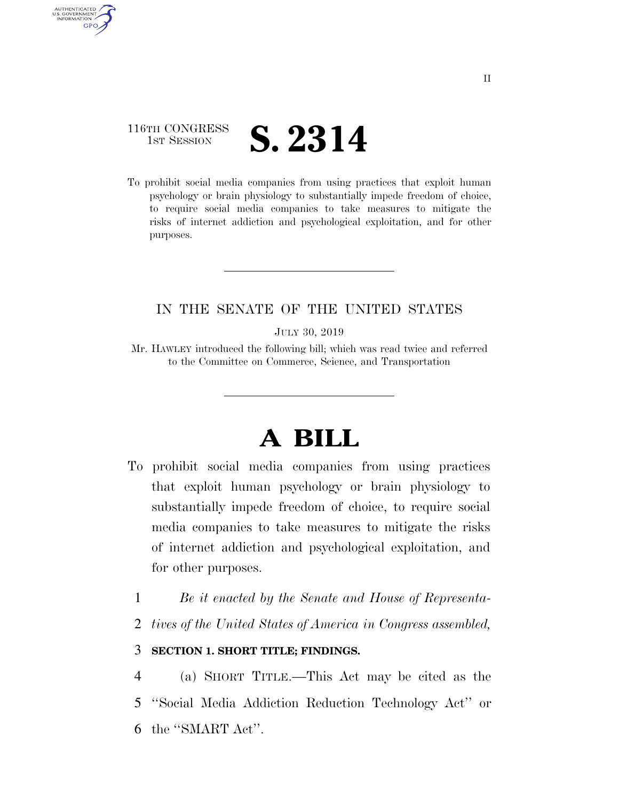## 116TH CONGRESS **1ST SESSION S. 2314**

AUTHENTICATED U.S. GOVERNMENT **GPO** 

> To prohibit social media companies from using practices that exploit human psychology or brain physiology to substantially impede freedom of choice, to require social media companies to take measures to mitigate the risks of internet addiction and psychological exploitation, and for other purposes.

## IN THE SENATE OF THE UNITED STATES

JULY 30, 2019

Mr. HAWLEY introduced the following bill; which was read twice and referred to the Committee on Commerce, Science, and Transportation

# **A BILL**

- To prohibit social media companies from using practices that exploit human psychology or brain physiology to substantially impede freedom of choice, to require social media companies to take measures to mitigate the risks of internet addiction and psychological exploitation, and for other purposes.
	- 1 *Be it enacted by the Senate and House of Representa-*
	- 2 *tives of the United States of America in Congress assembled,*

### 3 **SECTION 1. SHORT TITLE; FINDINGS.**

4 (a) SHORT TITLE.—This Act may be cited as the 5 ''Social Media Addiction Reduction Technology Act'' or 6 the ''SMART Act''.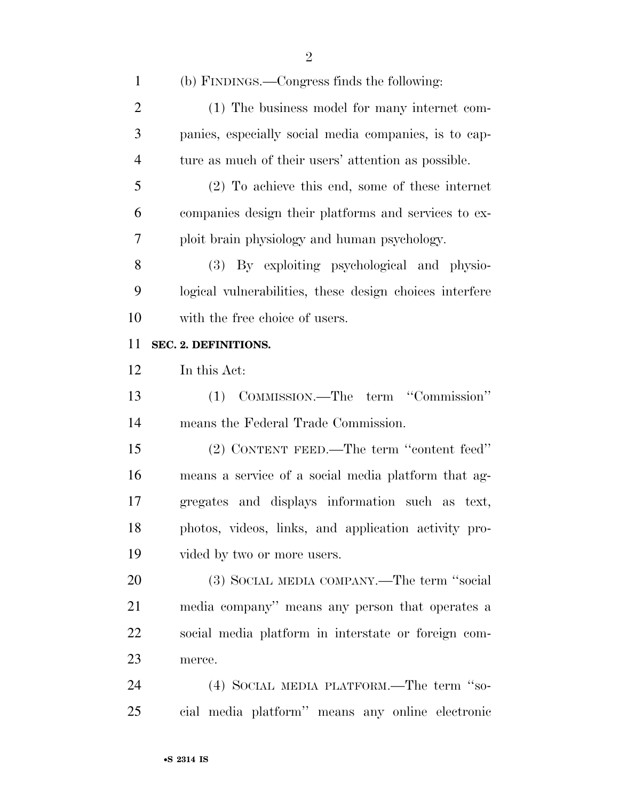(b) FINDINGS.—Congress finds the following:

| $\overline{2}$ | (1) The business model for many internet com-           |
|----------------|---------------------------------------------------------|
| 3              | panies, especially social media companies, is to cap-   |
| $\overline{4}$ | ture as much of their users' attention as possible.     |
| 5              | $(2)$ To achieve this end, some of these internet       |
| 6              | companies design their platforms and services to ex-    |
| 7              | ploit brain physiology and human psychology.            |
| 8              | (3) By exploiting psychological and physio-             |
| 9              | logical vulnerabilities, these design choices interfere |
| 10             | with the free choice of users.                          |
| 11             | SEC. 2. DEFINITIONS.                                    |
| 12             | In this Act:                                            |
| 13             | (1) COMMISSION.—The term "Commission"                   |
| 14             | means the Federal Trade Commission.                     |
| 15             | (2) CONTENT FEED.—The term "content feed"               |
| 16             | means a service of a social media platform that ag-     |
| 17             | gregates and displays information such as text,         |
| 18             | photos, videos, links, and application activity pro-    |
| 19             | vided by two or more users.                             |
| 20             | (3) SOCIAL MEDIA COMPANY.—The term "social              |
| 21             | media company" means any person that operates a         |
| 22             | social media platform in interstate or foreign com-     |
| 23             | merce.                                                  |
| 24             | (4) SOCIAL MEDIA PLATFORM.—The term "so-                |
|                |                                                         |

cial media platform'' means any online electronic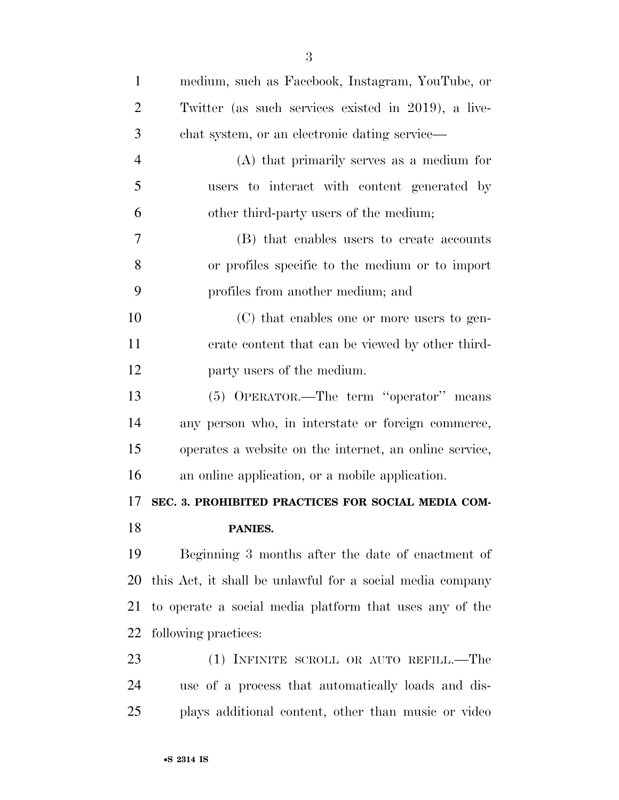| $\mathbf{1}$   | medium, such as Facebook, Instagram, YouTube, or          |
|----------------|-----------------------------------------------------------|
| $\overline{2}$ | Twitter (as such services existed in 2019), a live-       |
| 3              | chat system, or an electronic dating service—             |
| $\overline{4}$ | $(A)$ that primarily serves as a medium for               |
| 5              | users to interact with content generated by               |
| 6              | other third-party users of the medium;                    |
| 7              | (B) that enables users to create accounts                 |
| 8              | or profiles specific to the medium or to import           |
| 9              | profiles from another medium; and                         |
| 10             | (C) that enables one or more users to gen-                |
| 11             | erate content that can be viewed by other third-          |
| 12             | party users of the medium.                                |
| 13             | (5) OPERATOR.—The term "operator" means                   |
| 14             | any person who, in interstate or foreign commerce,        |
| 15             | operates a website on the internet, an online service,    |
| 16             | an online application, or a mobile application.           |
| 17             | SEC. 3. PROHIBITED PRACTICES FOR SOCIAL MEDIA COM-        |
| 18             | PANIES.                                                   |
| 19             | Beginning 3 months after the date of enactment of         |
| 20             | this Act, it shall be unlawful for a social media company |
| 21             | to operate a social media platform that uses any of the   |
| 22             | following practices:                                      |
| 23             | (1) INFINITE SCROLL OR AUTO REFILL.—The                   |
| 24             | use of a process that automatically loads and dis-        |
| 25             | plays additional content, other than music or video       |
|                |                                                           |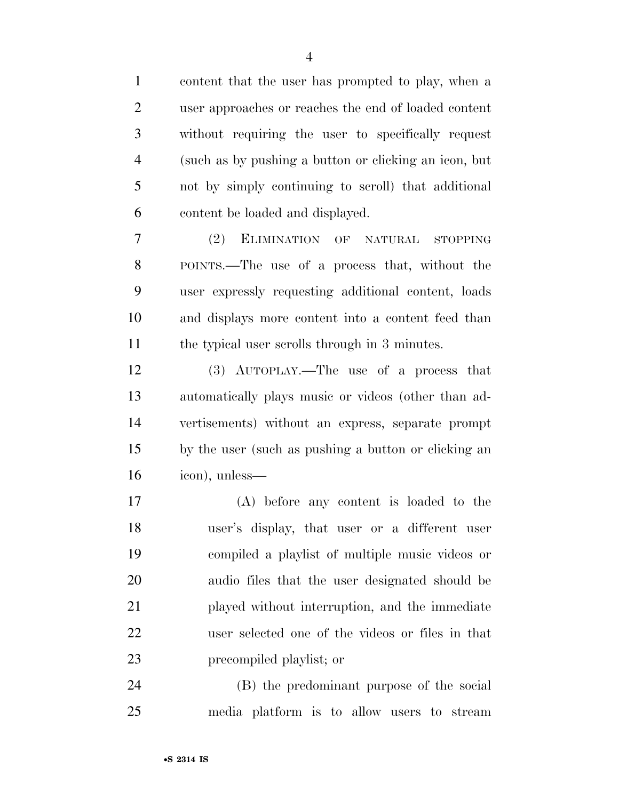| $\mathbf{1}$   | content that the user has prompted to play, when a    |
|----------------|-------------------------------------------------------|
| $\overline{2}$ | user approaches or reaches the end of loaded content  |
| 3              | without requiring the user to specifically request    |
| $\overline{4}$ | (such as by pushing a button or clicking an icon, but |
| 5              | not by simply continuing to seroll) that additional   |
| 6              | content be loaded and displayed.                      |
| 7              | ELIMINATION OF NATURAL<br>(2)<br><b>STOPPING</b>      |
| 8              | POINTS.—The use of a process that, without the        |
| 9              | user expressly requesting additional content, loads   |
| 10             | and displays more content into a content feed than    |
| 11             | the typical user scrolls through in 3 minutes.        |
| 12             | (3) AUTOPLAY.—The use of a process that               |
| 13             | automatically plays music or videos (other than ad-   |
| 14             | vertisements) without an express, separate prompt     |
| 15             | by the user (such as pushing a button or clicking an  |
| 16             | icon), unless—                                        |
| 17             | (A) before any content is loaded to the               |
| 18             | user's display, that user or a different user         |
| 19             | compiled a playlist of multiple music videos or       |
| 20             | audio files that the user designated should be        |
| 21             | played without interruption, and the immediate        |
| 22             | user selected one of the videos or files in that      |
| 23             | precompiled playlist; or                              |
| 24             | (B) the predominant purpose of the social             |
| 25             | media platform is to allow users to stream            |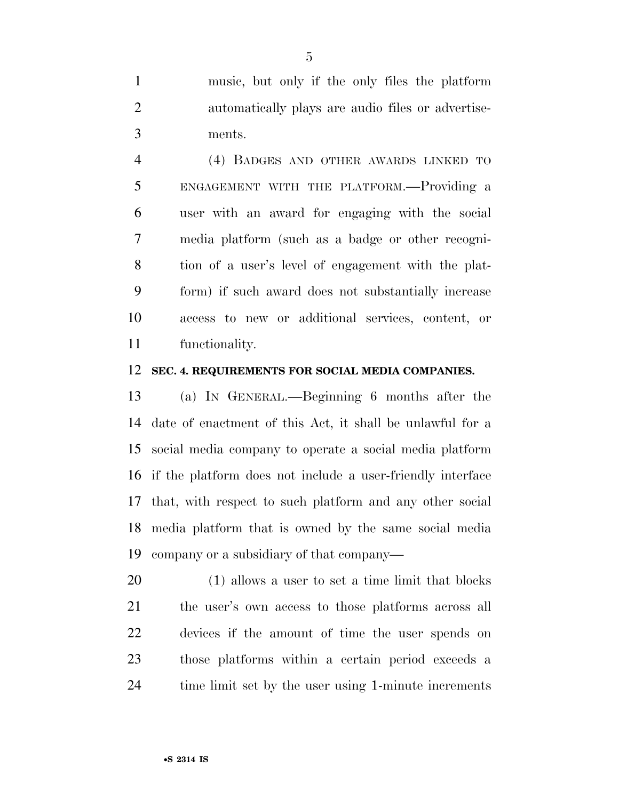music, but only if the only files the platform automatically plays are audio files or advertise-ments.

 (4) BADGES AND OTHER AWARDS LINKED TO ENGAGEMENT WITH THE PLATFORM.—Providing a user with an award for engaging with the social media platform (such as a badge or other recogni- tion of a user's level of engagement with the plat- form) if such award does not substantially increase access to new or additional services, content, or functionality.

#### **SEC. 4. REQUIREMENTS FOR SOCIAL MEDIA COMPANIES.**

 (a) IN GENERAL.—Beginning 6 months after the date of enactment of this Act, it shall be unlawful for a social media company to operate a social media platform if the platform does not include a user-friendly interface that, with respect to such platform and any other social media platform that is owned by the same social media company or a subsidiary of that company—

 (1) allows a user to set a time limit that blocks the user's own access to those platforms across all devices if the amount of time the user spends on those platforms within a certain period exceeds a 24 time limit set by the user using 1-minute increments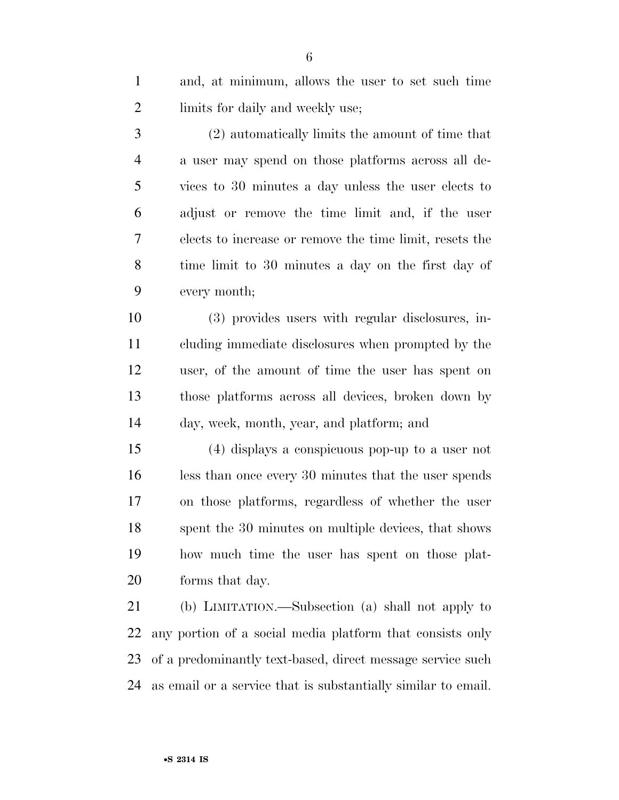and, at minimum, allows the user to set such time 2 limits for daily and weekly use;

 (2) automatically limits the amount of time that a user may spend on those platforms across all de- vices to 30 minutes a day unless the user elects to adjust or remove the time limit and, if the user elects to increase or remove the time limit, resets the time limit to 30 minutes a day on the first day of every month;

 (3) provides users with regular disclosures, in- cluding immediate disclosures when prompted by the user, of the amount of time the user has spent on those platforms across all devices, broken down by day, week, month, year, and platform; and

 (4) displays a conspicuous pop-up to a user not less than once every 30 minutes that the user spends on those platforms, regardless of whether the user spent the 30 minutes on multiple devices, that shows how much time the user has spent on those plat-forms that day.

 (b) LIMITATION.—Subsection (a) shall not apply to any portion of a social media platform that consists only of a predominantly text-based, direct message service such as email or a service that is substantially similar to email.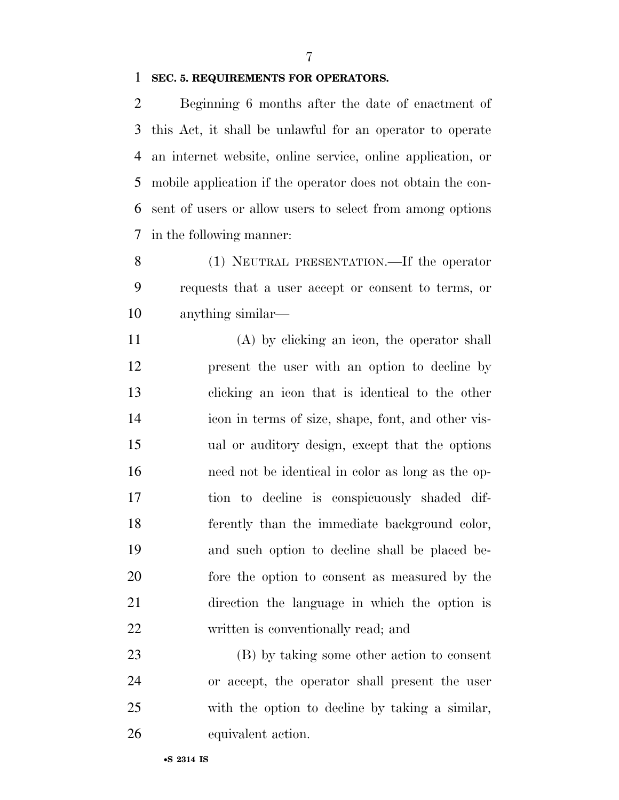#### **SEC. 5. REQUIREMENTS FOR OPERATORS.**

 Beginning 6 months after the date of enactment of this Act, it shall be unlawful for an operator to operate an internet website, online service, online application, or mobile application if the operator does not obtain the con- sent of users or allow users to select from among options in the following manner:

 (1) NEUTRAL PRESENTATION.—If the operator requests that a user accept or consent to terms, or anything similar—

 (A) by clicking an icon, the operator shall present the user with an option to decline by clicking an icon that is identical to the other icon in terms of size, shape, font, and other vis- ual or auditory design, except that the options need not be identical in color as long as the op- tion to decline is conspicuously shaded dif- ferently than the immediate background color, and such option to decline shall be placed be- fore the option to consent as measured by the direction the language in which the option is written is conventionally read; and

 (B) by taking some other action to consent or accept, the operator shall present the user with the option to decline by taking a similar, equivalent action.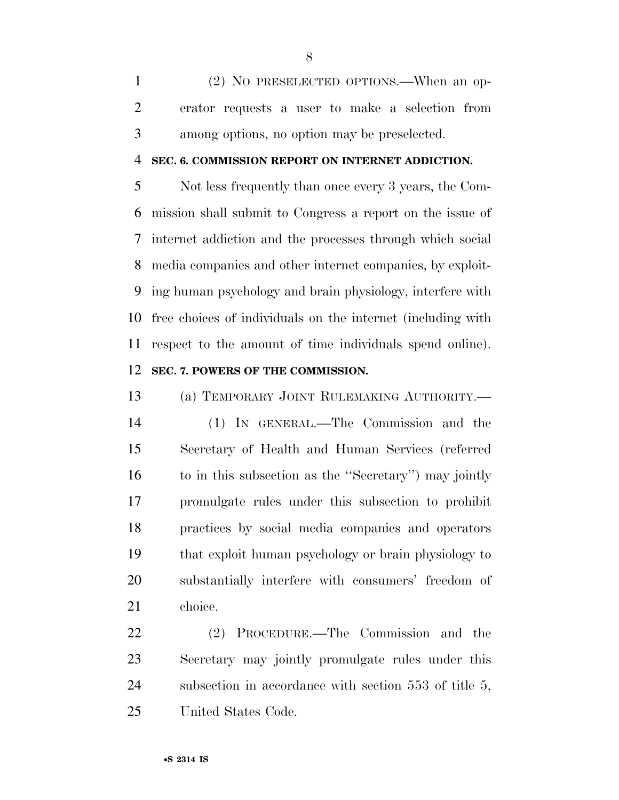(2) NO PRESELECTED OPTIONS.—When an op- erator requests a user to make a selection from among options, no option may be preselected.

#### **SEC. 6. COMMISSION REPORT ON INTERNET ADDICTION.**

 Not less frequently than once every 3 years, the Com- mission shall submit to Congress a report on the issue of internet addiction and the processes through which social media companies and other internet companies, by exploit- ing human psychology and brain physiology, interfere with free choices of individuals on the internet (including with respect to the amount of time individuals spend online). **SEC. 7. POWERS OF THE COMMISSION.** 

 (a) TEMPORARY JOINT RULEMAKING AUTHORITY.— (1) IN GENERAL.—The Commission and the Secretary of Health and Human Services (referred to in this subsection as the ''Secretary'') may jointly promulgate rules under this subsection to prohibit practices by social media companies and operators that exploit human psychology or brain physiology to substantially interfere with consumers' freedom of choice.

 (2) PROCEDURE.—The Commission and the Secretary may jointly promulgate rules under this subsection in accordance with section 553 of title 5, United States Code.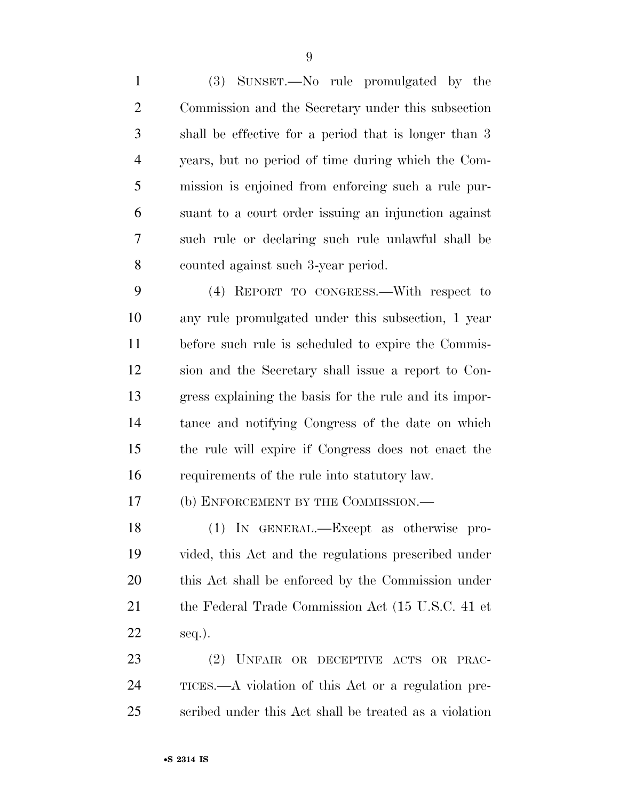(3) SUNSET.—No rule promulgated by the Commission and the Secretary under this subsection shall be effective for a period that is longer than 3 years, but no period of time during which the Com- mission is enjoined from enforcing such a rule pur- suant to a court order issuing an injunction against such rule or declaring such rule unlawful shall be counted against such 3-year period.

 (4) REPORT TO CONGRESS.—With respect to any rule promulgated under this subsection, 1 year before such rule is scheduled to expire the Commis- sion and the Secretary shall issue a report to Con- gress explaining the basis for the rule and its impor- tance and notifying Congress of the date on which the rule will expire if Congress does not enact the requirements of the rule into statutory law.

17 (b) ENFORCEMENT BY THE COMMISSION.—

 (1) IN GENERAL.—Except as otherwise pro- vided, this Act and the regulations prescribed under this Act shall be enforced by the Commission under the Federal Trade Commission Act (15 U.S.C. 41 et seq.).

 (2) UNFAIR OR DECEPTIVE ACTS OR PRAC- TICES.—A violation of this Act or a regulation pre-scribed under this Act shall be treated as a violation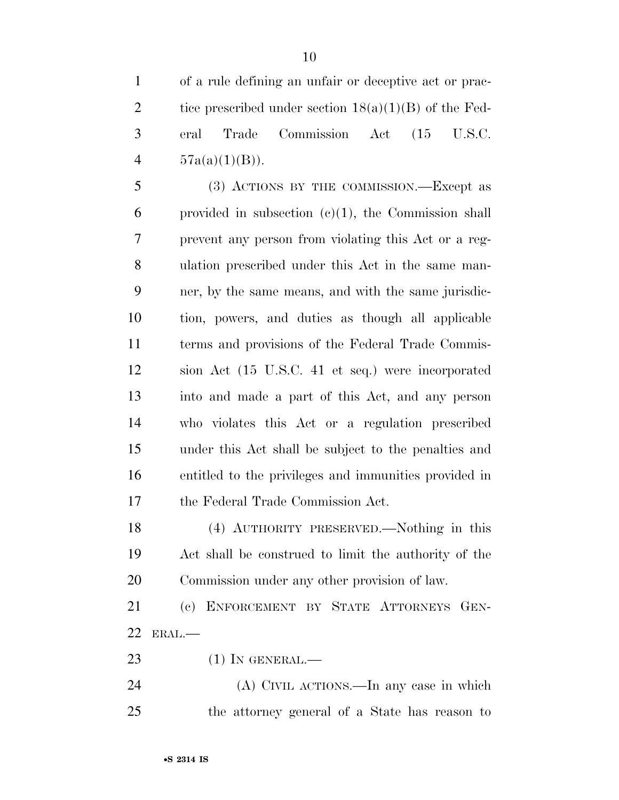of a rule defining an unfair or deceptive act or prac-2 tice prescribed under section  $18(a)(1)(B)$  of the Fed- eral Trade Commission Act (15 U.S.C.  $57a(a)(1)(B)$ .

 (3) ACTIONS BY THE COMMISSION.—Except as provided in subsection (c)(1), the Commission shall prevent any person from violating this Act or a reg- ulation prescribed under this Act in the same man- ner, by the same means, and with the same jurisdic- tion, powers, and duties as though all applicable terms and provisions of the Federal Trade Commis- sion Act (15 U.S.C. 41 et seq.) were incorporated into and made a part of this Act, and any person who violates this Act or a regulation prescribed under this Act shall be subject to the penalties and entitled to the privileges and immunities provided in the Federal Trade Commission Act.

 (4) AUTHORITY PRESERVED.—Nothing in this Act shall be construed to limit the authority of the Commission under any other provision of law.

 (c) ENFORCEMENT BY STATE ATTORNEYS GEN-ERAL.—

23 (1) IN GENERAL.—

 (A) CIVIL ACTIONS.—In any case in which the attorney general of a State has reason to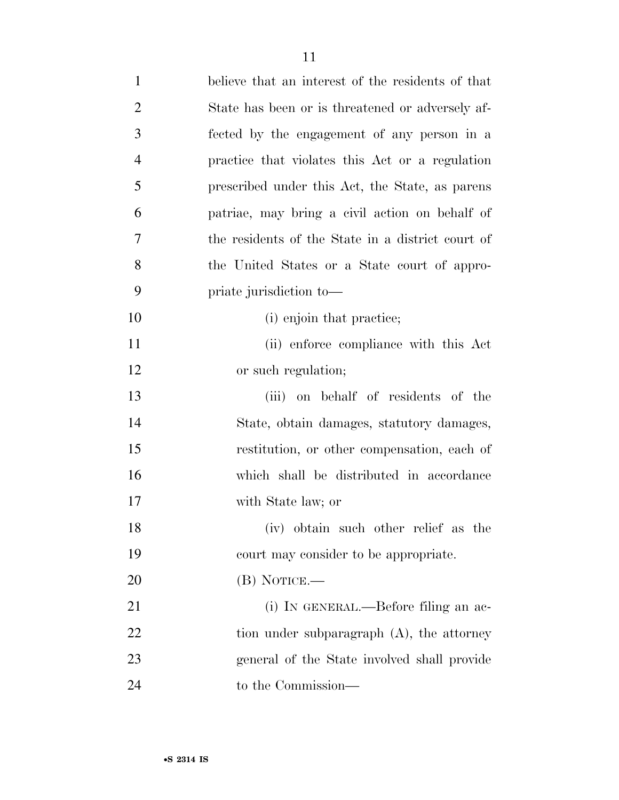| $\mathbf{1}$   | believe that an interest of the residents of that |
|----------------|---------------------------------------------------|
| $\overline{2}$ | State has been or is threatened or adversely af-  |
| 3              | fected by the engagement of any person in a       |
| $\overline{4}$ | practice that violates this Act or a regulation   |
| 5              | prescribed under this Act, the State, as parents  |
| 6              | patriae, may bring a civil action on behalf of    |
| 7              | the residents of the State in a district court of |
| 8              | the United States or a State court of appro-      |
| 9              | priate jurisdiction to-                           |
| 10             | (i) enjoin that practice;                         |
| 11             | (ii) enforce compliance with this Act             |
| 12             | or such regulation;                               |
| 13             | (iii) on behalf of residents of the               |
| 14             | State, obtain damages, statutory damages,         |
| 15             | restitution, or other compensation, each of       |
| 16             | which shall be distributed in accordance          |
| 17             | with State law; or                                |
| 18             | (iv) obtain such other relief as the              |
| 19             | court may consider to be appropriate.             |
| 20             | $(B)$ NOTICE.—                                    |
| 21             | (i) IN GENERAL.—Before filing an ac-              |
| 22             | tion under subparagraph $(A)$ , the attorney      |
| 23             | general of the State involved shall provide       |
| 24             | to the Commission—                                |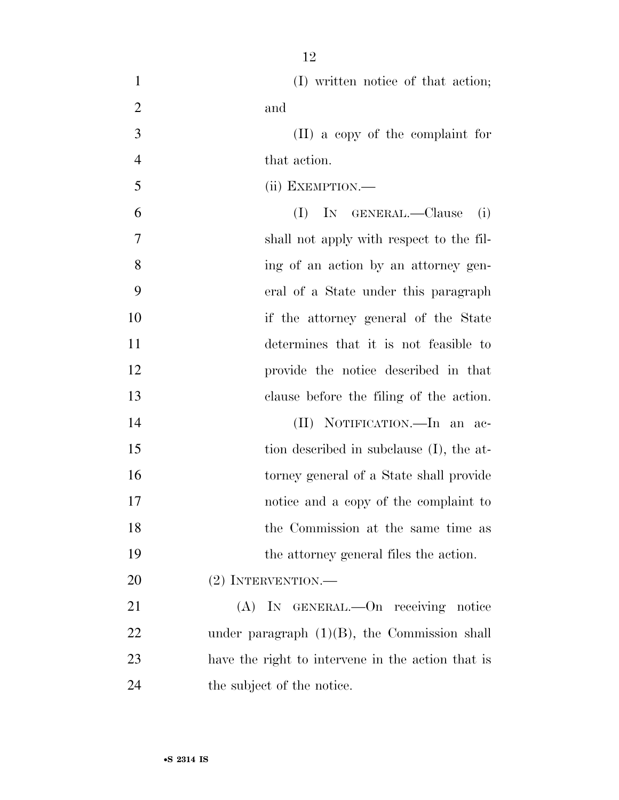| $\mathbf{1}$   | (I) written notice of that action;                |
|----------------|---------------------------------------------------|
| $\overline{2}$ | and                                               |
| 3              | (II) a copy of the complaint for                  |
| $\overline{4}$ | that action.                                      |
| 5              | (ii) EXEMPTION.—                                  |
| 6              | (I)<br>IN GENERAL.-Clause<br>(i)                  |
| 7              | shall not apply with respect to the fil-          |
| 8              | ing of an action by an attorney gen-              |
| 9              | eral of a State under this paragraph              |
| 10             | if the attorney general of the State              |
| 11             | determines that it is not feasible to             |
| 12             | provide the notice described in that              |
| 13             | clause before the filing of the action.           |
| 14             | (II) NOTIFICATION.—In an ac-                      |
| 15             | tion described in subclause (I), the at-          |
| 16             | torney general of a State shall provide           |
| 17             | notice and a copy of the complaint to             |
| 18             | the Commission at the same time as                |
| 19             | the attorney general files the action.            |
| 20             | $(2)$ INTERVENTION.—                              |
| 21             | (A) IN GENERAL.—On receiving notice               |
| 22             | under paragraph $(1)(B)$ , the Commission shall   |
| 23             | have the right to intervene in the action that is |
| 24             | the subject of the notice.                        |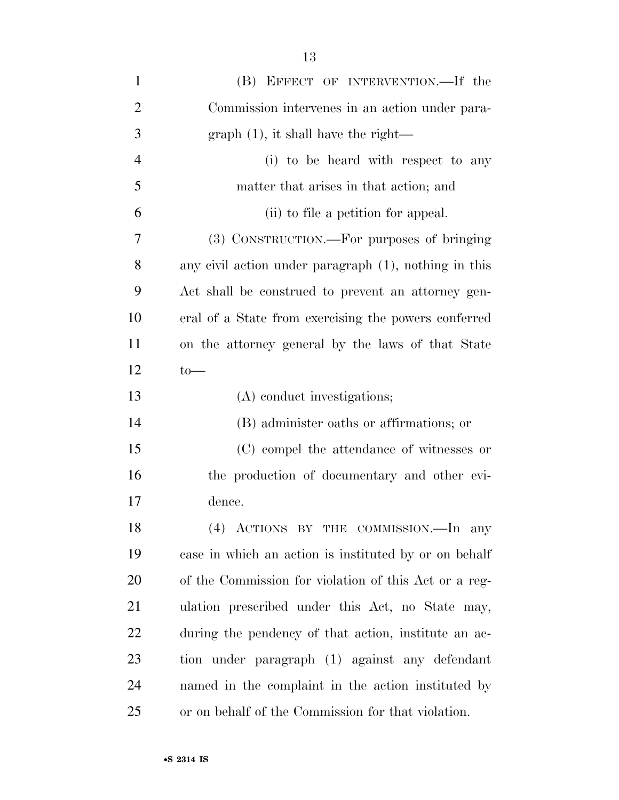| $\mathbf{1}$   | (B) EFFECT OF INTERVENTION.—If the                    |
|----------------|-------------------------------------------------------|
| $\overline{2}$ | Commission intervenes in an action under para-        |
| 3              | $graph(1)$ , it shall have the right—                 |
| $\overline{4}$ | (i) to be heard with respect to any                   |
| 5              | matter that arises in that action; and                |
| 6              | (ii) to file a petition for appeal.                   |
| 7              | (3) CONSTRUCTION.—For purposes of bringing            |
| 8              | any civil action under paragraph (1), nothing in this |
| 9              | Act shall be construed to prevent an attorney gen-    |
| 10             | eral of a State from exercising the powers conferred  |
| 11             | on the attorney general by the laws of that State     |
| 12             | $to-$                                                 |
| 13             | (A) conduct investigations;                           |
| 14             | (B) administer oaths or affirmations; or              |
| 15             | (C) compel the attendance of witnesses or             |
| 16             | the production of documentary and other evi-          |
| 17             | dence.                                                |
| 18             | (4) ACTIONS BY THE COMMISSION.—In any                 |
| 19             | case in which an action is instituted by or on behalf |
| 20             | of the Commission for violation of this Act or a reg- |
| 21             | ulation prescribed under this Act, no State may,      |
| 22             | during the pendency of that action, institute an ac-  |
| 23             | tion under paragraph (1) against any defendant        |
| 24             | named in the complaint in the action instituted by    |
| 25             | or on behalf of the Commission for that violation.    |